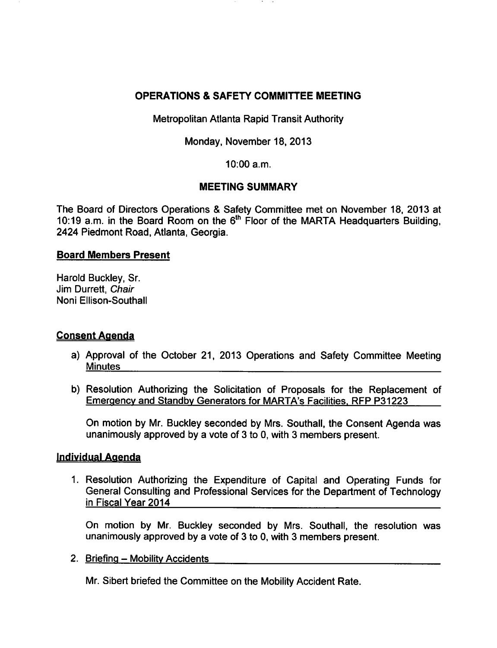# OPERATIONS & SAFETY COMMITTEE MEETING

Metropolitan Atlanta Rapid Transit Authority

Monday, November 18, 2013

10:00 a.m.

# MEETING SUMMARY

The Board of Directors Operations & Safety Committee met on November 18, 2013 at 10:19 a.m. in the Board Room on the 6"' Floor of the MARTA Headquarters Building, 2424 Piedmont Road, Atlanta, Georgia.

### Board Members Present

Harold Buckley, Sr. Jim Durrett, Chair Noni Ellison-Southall

# Consent Agenda

- a) Approval of the October 21, 2013 Operations and Safety Committee Meeting Minutes
- b) Resolution Authorizing the Solicitation of Proposals for the Replacement of Emergency and Standby Generators for MARTA's Facilities. RFP P31223

On motion by Mr. Buckley seconded by Mrs. Southall, the Consent Agenda was unanimously approved by a vote of 3 to 0, with 3 members present.

# Individual Agenda

1. Resolution Authorizing the Expenditure of Capital and Operating Funds for General Consulting and Professional Services for the Department of Technology in Fiscal Year 2014

On motion by Mr. Buckley seconded by Mrs. Southall, the resolution was unanimously approved by a vote of 3 to 0, with 3 members present.

2. Briefing - Mobility Accidents

Mr. Sibert briefed the Committee on the Mobility Accident Rate.